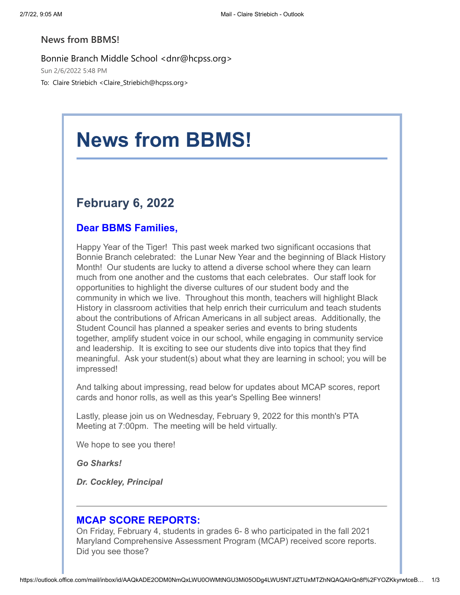### **News from BBMS!**

Bonnie Branch Middle School <dnr@hcpss.org>

Sun 2/6/2022 5:48 PM

To: Claire Striebich <Claire\_Striebich@hcpss.org>

# **News from BBMS!**

## **February 6, 2022**

## **Dear BBMS Families,**

Happy Year of the Tiger! This past week marked two significant occasions that Bonnie Branch celebrated: the Lunar New Year and the beginning of Black History Month! Our students are lucky to attend a diverse school where they can learn much from one another and the customs that each celebrates. Our staff look for opportunities to highlight the diverse cultures of our student body and the community in which we live. Throughout this month, teachers will highlight Black History in classroom activities that help enrich their curriculum and teach students about the contributions of African Americans in all subject areas. Additionally, the Student Council has planned a speaker series and events to bring students together, amplify student voice in our school, while engaging in community service and leadership. It is exciting to see our students dive into topics that they find meaningful. Ask your student(s) about what they are learning in school; you will be impressed!

And talking about impressing, read below for updates about MCAP scores, report cards and honor rolls, as well as this year's Spelling Bee winners!

Lastly, please join us on Wednesday, February 9, 2022 for this month's PTA Meeting at 7:00pm. The meeting will be held virtually.

We hope to see you there!

*Go Sharks!*

*Dr. Cockley, Principal*

### **MCAP SCORE REPORTS:**

On Friday, February 4, students in grades 6- 8 who participated in the fall 2021 Maryland Comprehensive Assessment Program (MCAP) received score reports. Did you see those?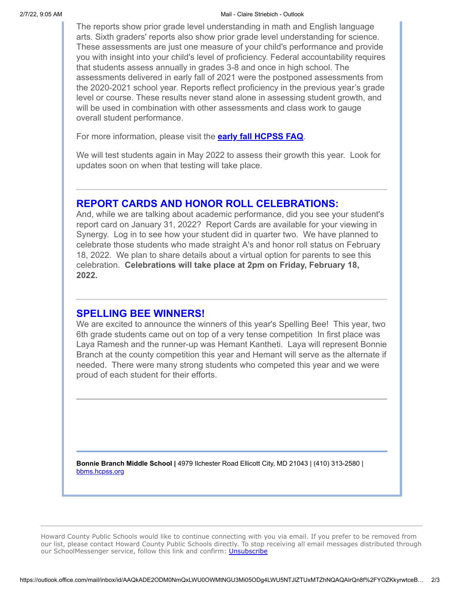#### 2/7/22, 9:05 AM Mail - Claire Striebich - Outlook

The reports show prior grade level understanding in math and English language arts. Sixth graders' reports also show prior grade level understanding for science. These assessments are just one measure of your child's performance and provide you with insight into your child's level of proficiency. Federal accountability requires that students assess annually in grades 3-8 and once in high school. The assessments delivered in early fall of 2021 were the postponed assessments from the 2020-2021 school year. Reports reflect proficiency in the previous year's grade level or course. These results never stand alone in assessing student growth, and will be used in combination with other assessments and class work to gauge overall student performance.

For more information, please visit the **[early fall HCPSS FAQ](https://nam10.safelinks.protection.outlook.com/?url=http%3A%2F%2Ftrack.spe.schoolmessenger.com%2Ff%2Fa%2FDFVFEKXwUf4Py297XDOVDA~~%2FAAAAAQA~%2FRgRj4YOoP4ReAmh0dHBzOi8vbmFtMTAuc2FmZWxpbmtzLnByb3RlY3Rpb24ub3V0bG9vay5jb20vP3VybD1odHRwJTNBJTJGJTJGdHJhY2suc3BlLnNjaG9vbG1lc3Nlbmdlci5jb20lMkZmJTJGYSUyRmVGWmM5dFpQN09UcTBrVDI5TUJjQ3d-fiUyRkFBQUFBUUF-JTJGUmdSajNWMTJQMFE2YUhSMGNITTZMeTlvWld4d0xtaGpjSE56TG05eVp5OW5jbUZrWlhNdGRHVnpkR2x1Wnk5dFkyRndMV1ZoY214NUxXWmhiR3d0TWpBeU1WY0hjMk5vYjI5c2JVSUtZZm4yS2Z4aGRMUDVNbElZWVc1a2NtVjNYMk52WTJ0c1pYbEFhR053YzNNdWIzSm5XQVFBQUFBQiZkYXRhPTA0JTdDMDElN0NhbmRyZXdfY29ja2xleSU0MGhjcHNzLm9yZyU3Qzc0YTU0NTMxMWRlMDQ3NDhiNGQ0MDhkOWU3NDlhMTlkJTdDOTZhOWFjNGM0NzdlNGRhZGEyYjI4YWQzZmM0Njc5MGIlN0MxJTdDMCU3QzYzNzc5NTEyNTY5MjkxMDYyMCU3Q1Vua25vd24lN0NUV0ZwYkdac2IzZDhleUpXSWpvaU1DNHdMakF3TURBaUxDSlFJam9pVjJsdU16SWlMQ0pCVGlJNklrMWhhV3dpTENKWFZDSTZNbjAlM0QlN0MzMDAwJnNkYXRhPVRId2dUYncyQXpTZ1M0dnZZMmJPN1htbjBEbTVMZ05JdVY5a1N6UklzQ0klM0QmcmVzZXJ2ZWQ9MFcHc2Nob29sbUIKYfkoUABictp0tVIaY2xhaXJlX3N0cmllYmljaEBoY3Bzcy5vcmdYBAAAAAE~&data=04%7C01%7Cclaire_striebich%40hcpss.org%7C855ca9871bab4d206a3508d9e9c2bf35%7C96a9ac4c477e4dada2b28ad3fc46790b%7C1%7C0%7C637797844922056112%7CUnknown%7CTWFpbGZsb3d8eyJWIjoiMC4wLjAwMDAiLCJQIjoiV2luMzIiLCJBTiI6Ik1haWwiLCJXVCI6Mn0%3D%7C3000&sdata=s%2FoNUN%2Be0dNE9JkyYenRx0Meqc3Esq33je9tySOgpYk%3D&reserved=0)**.

We will test students again in May 2022 to assess their growth this year. Look for updates soon on when that testing will take place.

#### **REPORT CARDS AND HONOR ROLL CELEBRATIONS:**

And, while we are talking about academic performance, did you see your student's report card on January 31, 2022? Report Cards are available for your viewing in Synergy. Log in to see how your student did in quarter two. We have planned to celebrate those students who made straight A's and honor roll status on February 18, 2022. We plan to share details about a virtual option for parents to see this celebration. **Celebrations will take place at 2pm on Friday, February 18, 2022.**

#### **SPELLING BEE WINNERS!**

We are excited to announce the winners of this year's Spelling Bee! This year, two 6th grade students came out on top of a very tense competition In first place was Laya Ramesh and the runner-up was Hemant Kantheti. Laya will represent Bonnie Branch at the county competition this year and Hemant will serve as the alternate if needed. There were many strong students who competed this year and we were proud of each student for their efforts.

**Bonnie Branch Middle School |** 4979 Ilchester Road Ellicott City, MD 21043 | (410) 313-2580 | [bbms.hcpss.org](https://nam10.safelinks.protection.outlook.com/?url=http%3A%2F%2Ftrack.spe.schoolmessenger.com%2Ff%2Fa%2FELjoNwKmYmMUX3f0haOtrg~~%2FAAAAAQA~%2FRgRj4YOoP0QWaHR0cDovL2JibXMuaGNwc3Mub3JnL1cHc2Nob29sbUIKYfkoUABictp0tVIaY2xhaXJlX3N0cmllYmljaEBoY3Bzcy5vcmdYBAAAAAE~&data=04%7C01%7Cclaire_striebich%40hcpss.org%7C855ca9871bab4d206a3508d9e9c2bf35%7C96a9ac4c477e4dada2b28ad3fc46790b%7C1%7C0%7C637797844922056112%7CUnknown%7CTWFpbGZsb3d8eyJWIjoiMC4wLjAwMDAiLCJQIjoiV2luMzIiLCJBTiI6Ik1haWwiLCJXVCI6Mn0%3D%7C3000&sdata=UFnJcKq992Z9xgAhQm5OAJzGeWCNo2nfY88s7NOIAmo%3D&reserved=0)

Howard County Public Schools would like to continue connecting with you via email. If you prefer to be removed from our list, please contact Howard County Public Schools directly. To stop receiving all email messages distributed through our SchoolMessenger service, follow this link and confirm: *[Unsubscribe](https://nam10.safelinks.protection.outlook.com/?url=http%3A%2F%2Ftrack.spe.schoolmessenger.com%2Ff%2Fa%2FYOqepG_mCYhr2WzNO5pGUw~~%2FAAAAAQA~%2FRgRj4YOoP0RVaHR0cHM6Ly9nby5zY2hvb2xtZXNzZW5nZXIuY29tLyMvdW5zdWJzY3JpYmUvNjExOC9ZMnhoYVhKbFgzTjBjbWxsWW1samFFQm9ZM0J6Y3k1dmNtY1cHc2Nob29sbUIKYfkoUABictp0tVIaY2xhaXJlX3N0cmllYmljaEBoY3Bzcy5vcmdYBAAAAAE~&data=04%7C01%7Cclaire_striebich%40hcpss.org%7C855ca9871bab4d206a3508d9e9c2bf35%7C96a9ac4c477e4dada2b28ad3fc46790b%7C1%7C0%7C637797844922056112%7CUnknown%7CTWFpbGZsb3d8eyJWIjoiMC4wLjAwMDAiLCJQIjoiV2luMzIiLCJBTiI6Ik1haWwiLCJXVCI6Mn0%3D%7C3000&sdata=2OGI1QixTT0VFImzCZhr8nwOQku%2B5g6O0Pt37UvM8NE%3D&reserved=0)*